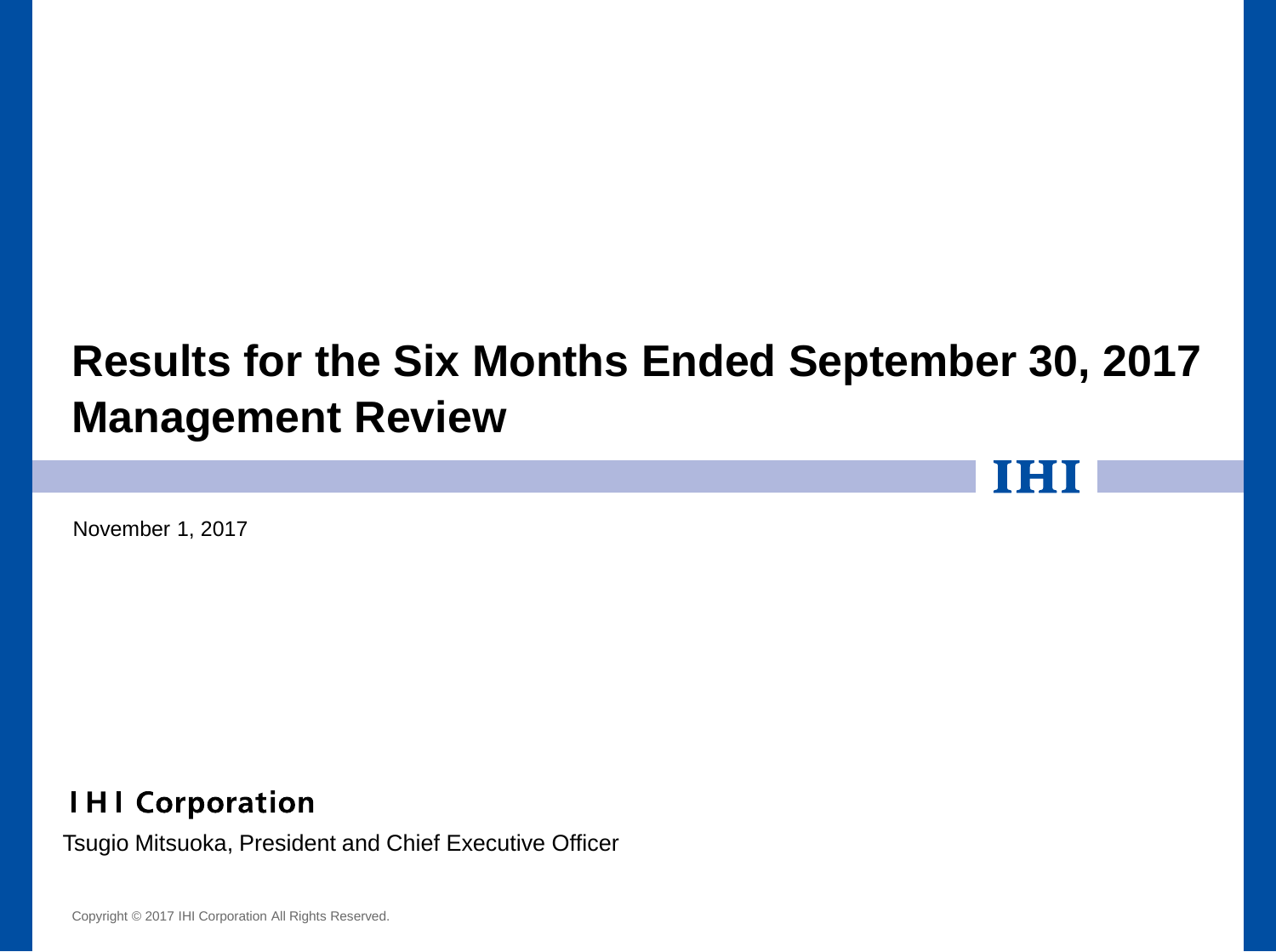# **Results for the Six Months Ended September 30, 2017 Management Review**

November 1, 2017

**IHI Corporation** 

Tsugio Mitsuoka, President and Chief Executive Officer

Copyright © 2017 IHI Corporation All Rights Reserved.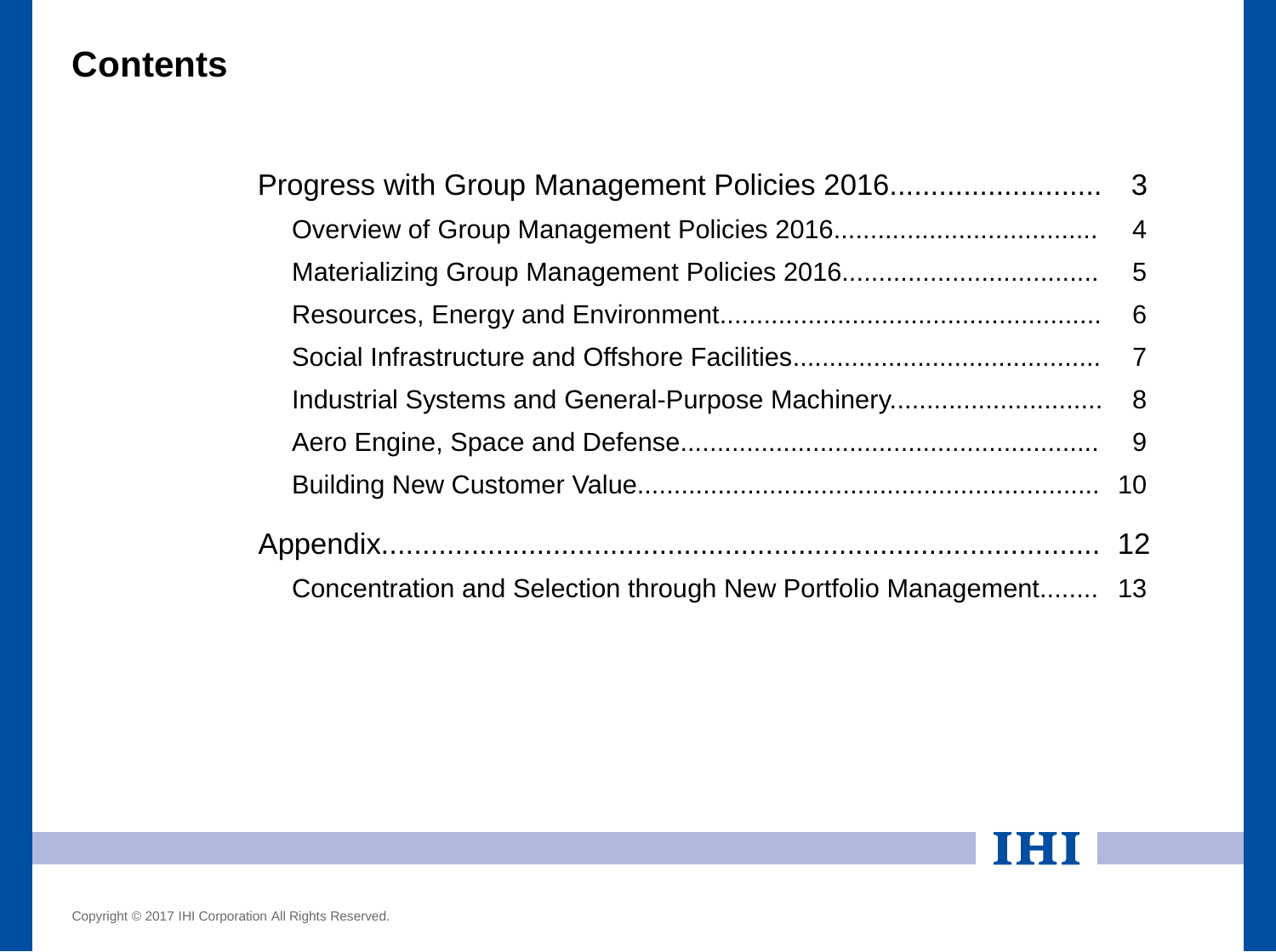## **Contents**

| Concentration and Selection through New Portfolio Management 13 |  |  |  |  |  |
|-----------------------------------------------------------------|--|--|--|--|--|

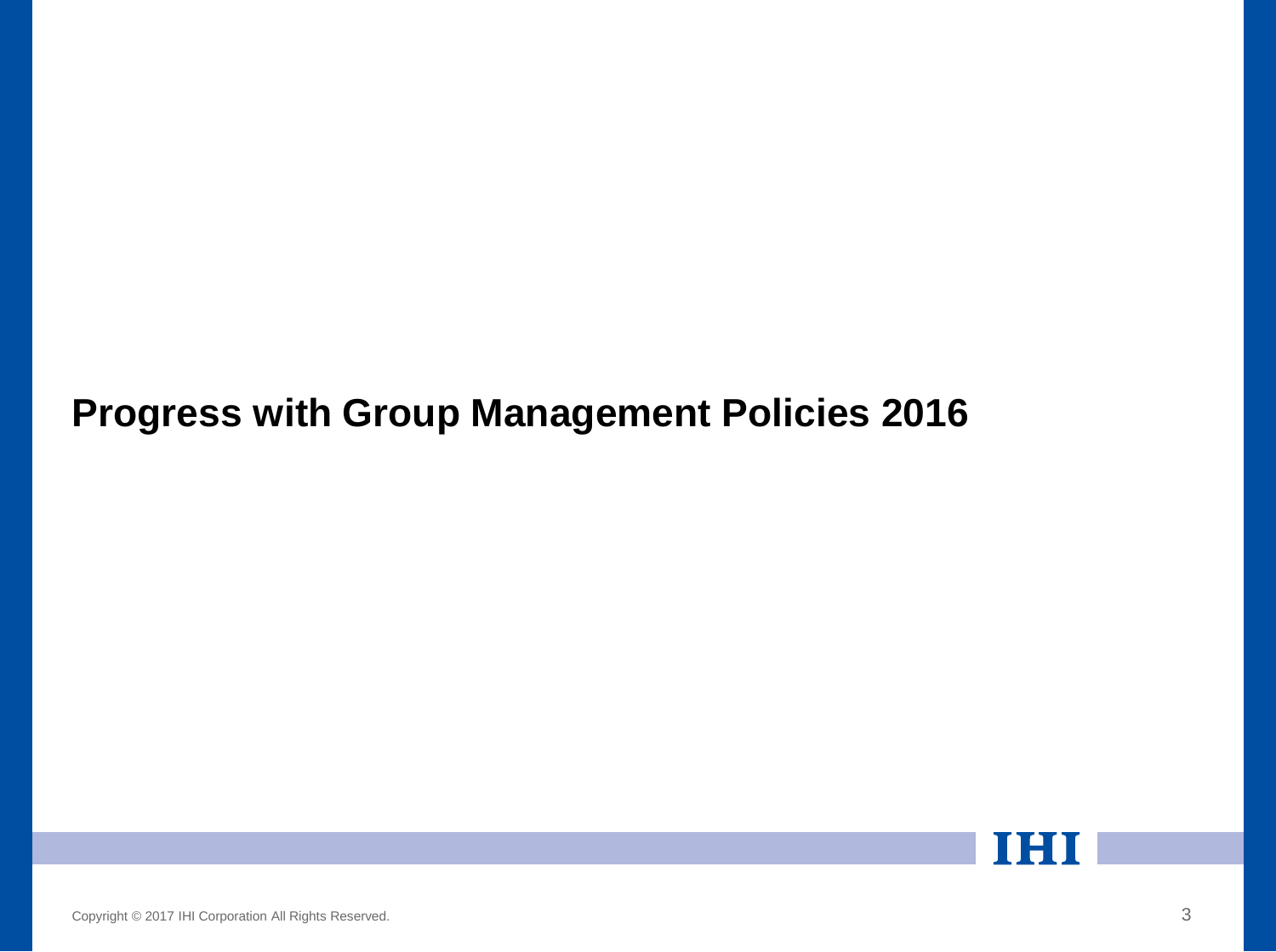# **Progress with Group Management Policies 2016**

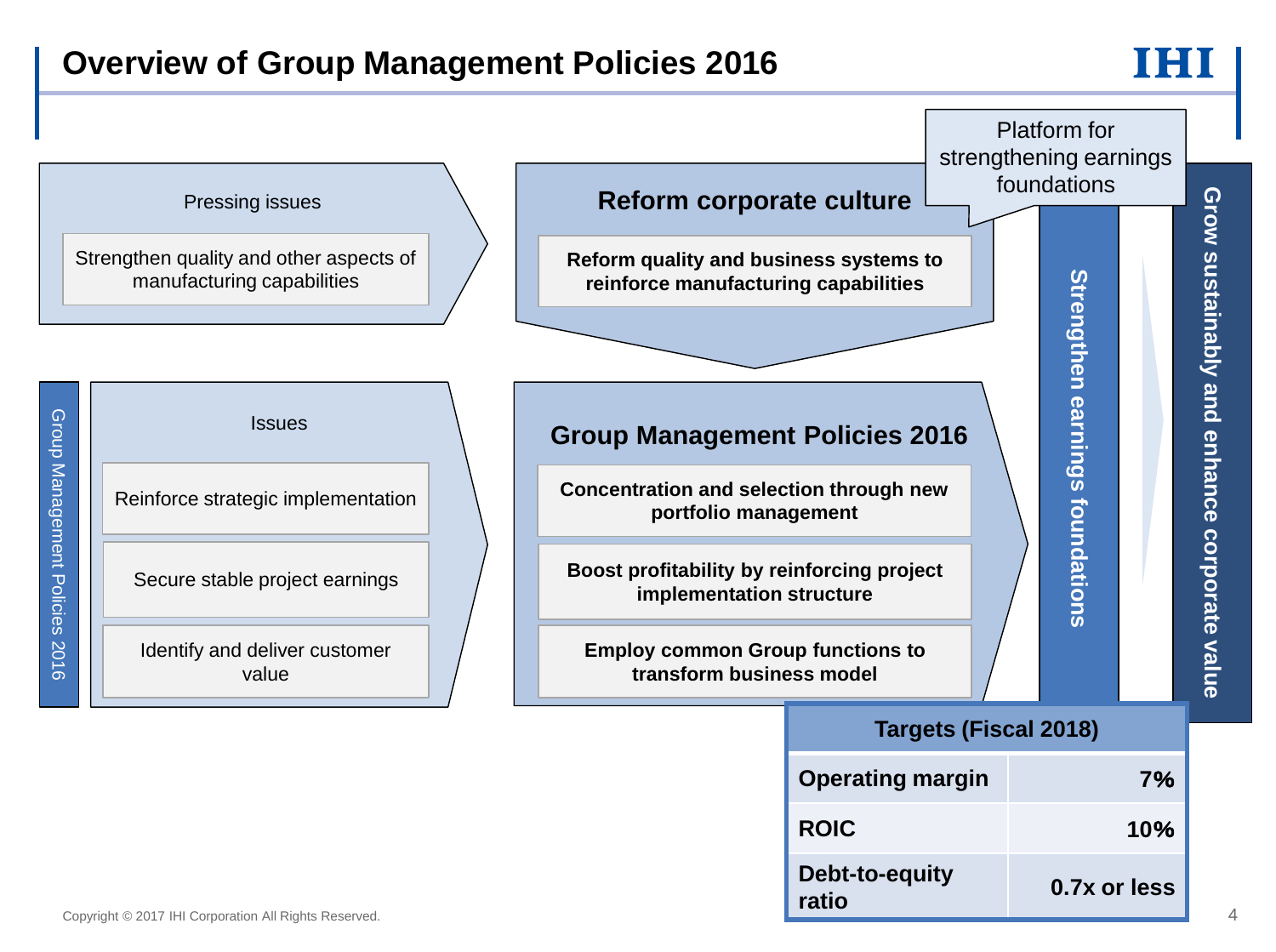## **Overview of Group Management Policies 2016**



**ROIC 10**%

**ratio 0.7x or less**

**Debt-to-equity**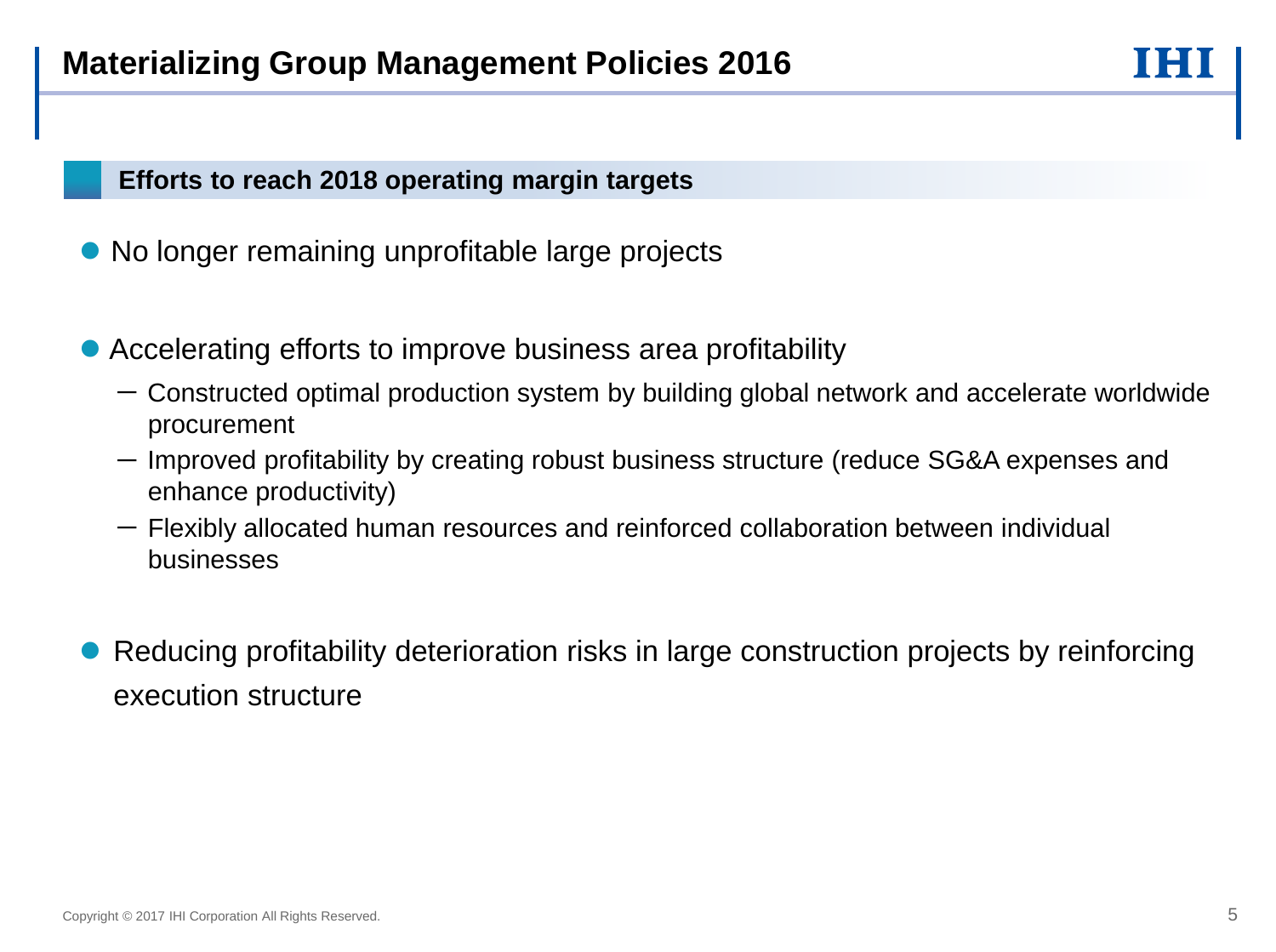## **Efforts to reach 2018 operating margin targets**

- No longer remaining unprofitable large projects
- Accelerating efforts to improve business area profitability
	- Constructed optimal production system by building global network and accelerate worldwide procurement
	- Improved profitability by creating robust business structure (reduce SG&A expenses and enhance productivity)
	- Flexibly allocated human resources and reinforced collaboration between individual businesses
- Reducing profitability deterioration risks in large construction projects by reinforcing execution structure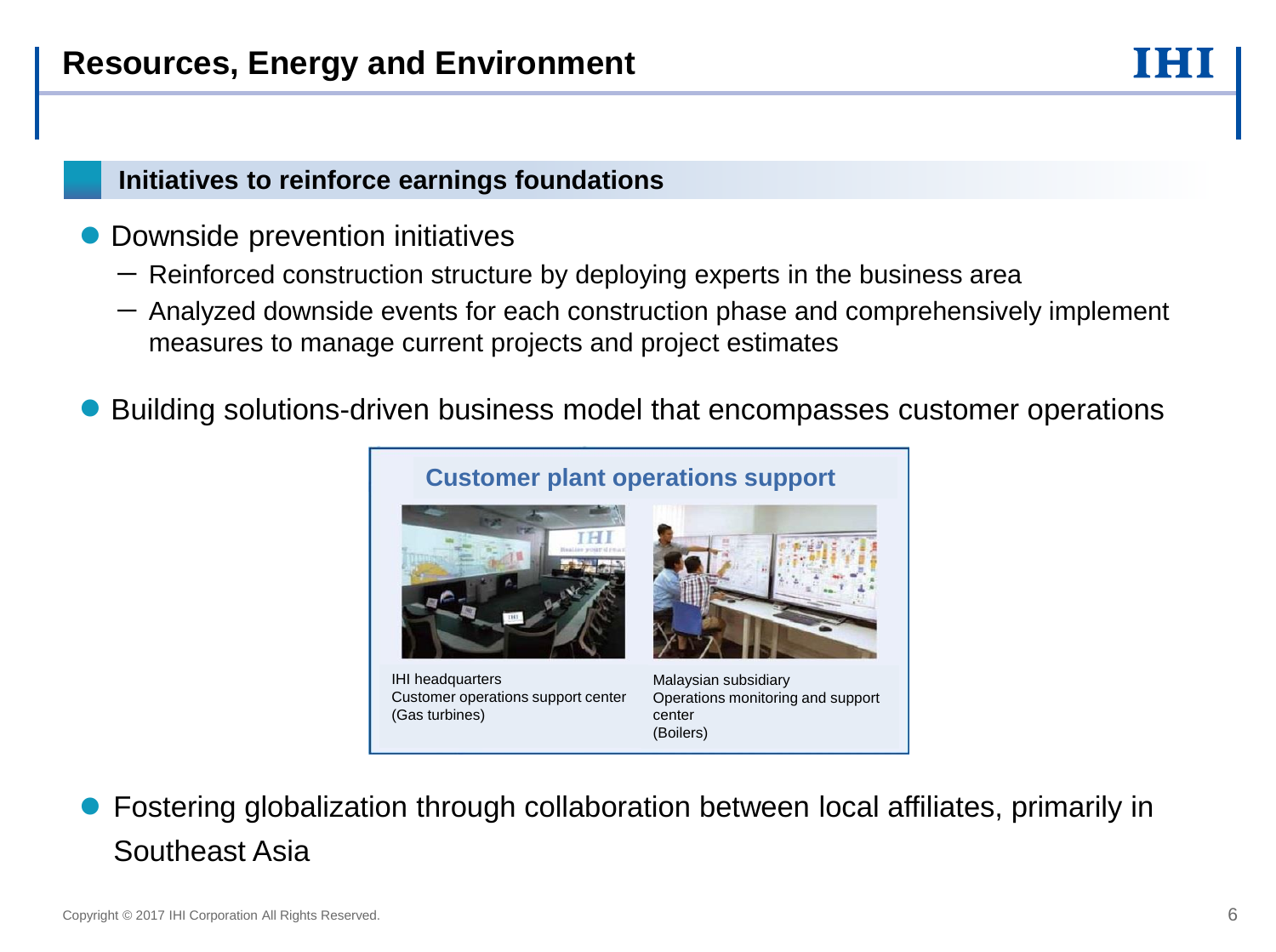- Downside prevention initiatives
	- $-$  Reinforced construction structure by deploying experts in the business area
	- $-$  Analyzed downside events for each construction phase and comprehensively implement measures to manage current projects and project estimates
- Building solutions-driven business model that encompasses customer operations



IHI headquarters Customer operations support center (Gas turbines)

Malaysian subsidiary Operations monitoring and support center (Boilers)

 Fostering globalization through collaboration between local affiliates, primarily in Southeast Asia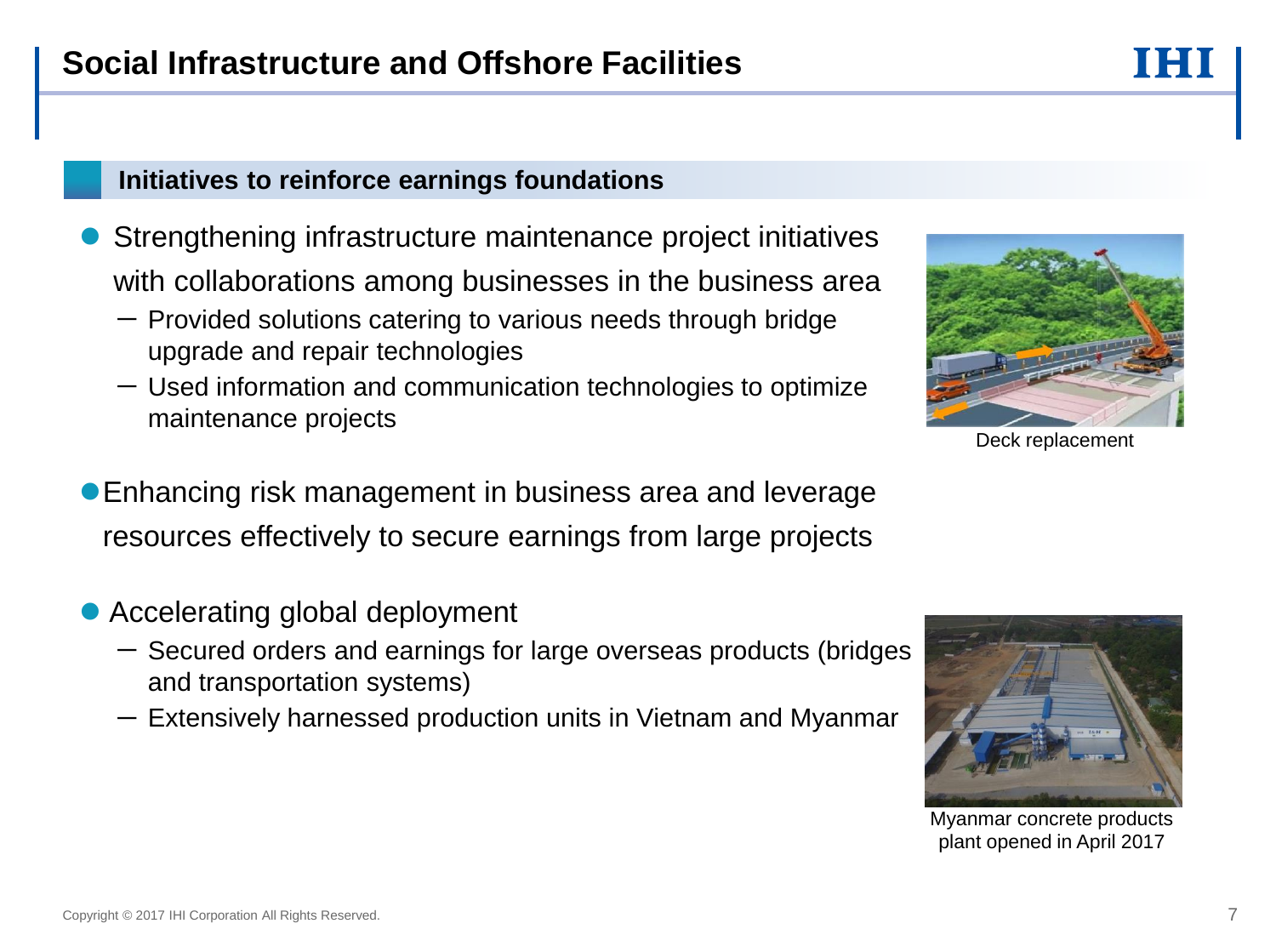- **Strengthening infrastructure maintenance project initiatives** with collaborations among businesses in the business area
	- $-$  Provided solutions catering to various needs through bridge upgrade and repair technologies
	- $-$  Used information and communication technologies to optimize maintenance projects



Deck replacement

- Enhancing risk management in business area and leverage resources effectively to secure earnings from large projects
- Accelerating global deployment
	- Secured orders and earnings for large overseas products (bridges and transportation systems)
	- $-$  Extensively harnessed production units in Vietnam and Myanmar



Myanmar concrete products plant opened in April 2017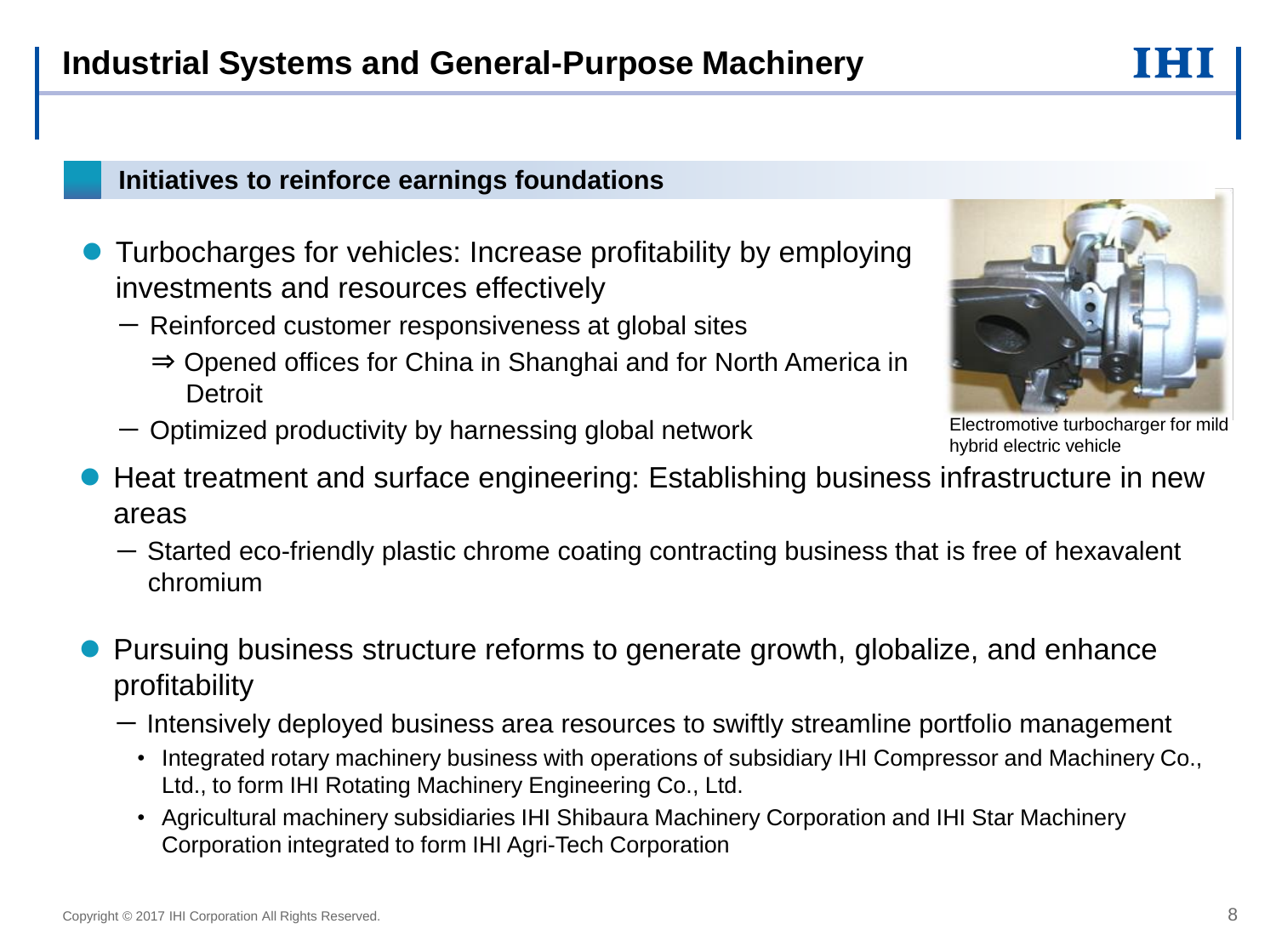- Turbocharges for vehicles: Increase profitability by employing investments and resources effectively
	- $-$  Reinforced customer responsiveness at global sites
		- ⇒ Opened offices for China in Shanghai and for North America in **Detroit**
	- Optimized productivity by harnessing global network
- Heat treatment and surface engineering: Establishing business infrastructure in new areas
	- Started eco-friendly plastic chrome coating contracting business that is free of hexavalent chromium
- Pursuing business structure reforms to generate growth, globalize, and enhance profitability
	- Intensively deployed business area resources to swiftly streamline portfolio management
		- Integrated rotary machinery business with operations of subsidiary IHI Compressor and Machinery Co., Ltd., to form IHI Rotating Machinery Engineering Co., Ltd.
		- Agricultural machinery subsidiaries IHI Shibaura Machinery Corporation and IHI Star Machinery Corporation integrated to form IHI Agri-Tech Corporation

Electromotive turbocharger for mild hybrid electric vehicle

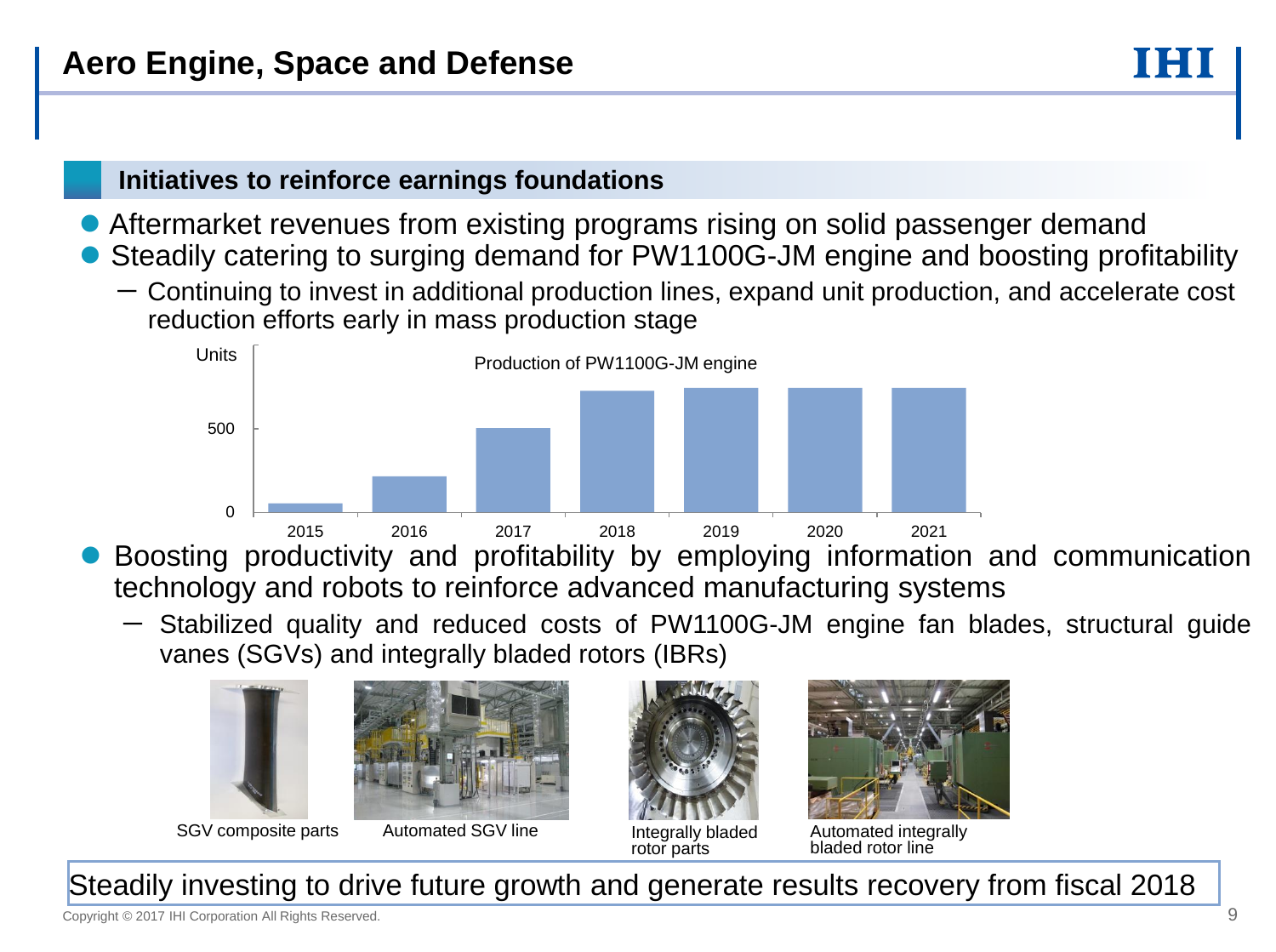- Aftermarket revenues from existing programs rising on solid passenger demand
- Steadily catering to surging demand for PW1100G-JM engine and boosting profitability
	- Continuing to invest in additional production lines, expand unit production, and accelerate cost reduction efforts early in mass production stage



- Boosting productivity and profitability by employing information and communication technology and robots to reinforce advanced manufacturing systems
	- Stabilized quality and reduced costs of PW1100G-JM engine fan blades, structural guide vanes (SGVs) and integrally bladed rotors (IBRs)





SGV composite parts Automated SGV line The Integrally bladed

Automated SGV line





Automated integrally bladed rotor line

Steadily investing to drive future growth and generate results recovery from fiscal 2018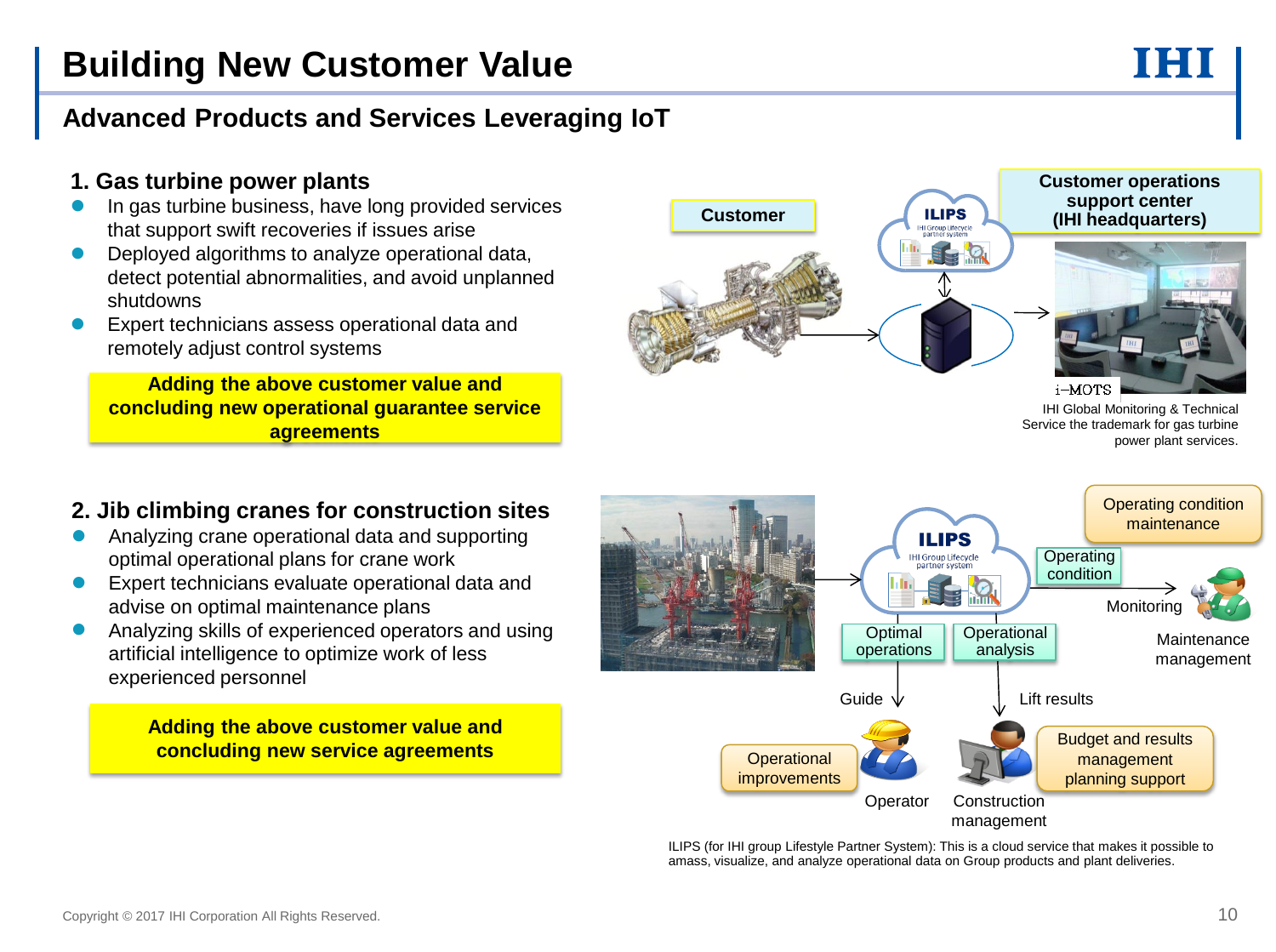#### j **Advanced Products and Services Leveraging IoT**

### **1. Gas turbine power plants**

- In gas turbine business, have long provided services that support swift recoveries if issues arise
- Deployed algorithms to analyze operational data, detect potential abnormalities, and avoid unplanned shutdowns
- Expert technicians assess operational data and remotely adjust control systems

**Adding the above customer value and concluding new operational guarantee service agreements**



IHI Global Monitoring & Technical Service the trademark for gas turbine power plant services.

#### **2. Jib climbing cranes for construction sites**

- Analyzing crane operational data and supporting optimal operational plans for crane work
- Expert technicians evaluate operational data and advise on optimal maintenance plans
- Analyzing skills of experienced operators and using artificial intelligence to optimize work of less experienced personnel

#### **Adding the above customer value and concluding new service agreements**



ILIPS (for IHI group Lifestyle Partner System): This is a cloud service that makes it possible to amass, visualize, and analyze operational data on Group products and plant deliveries.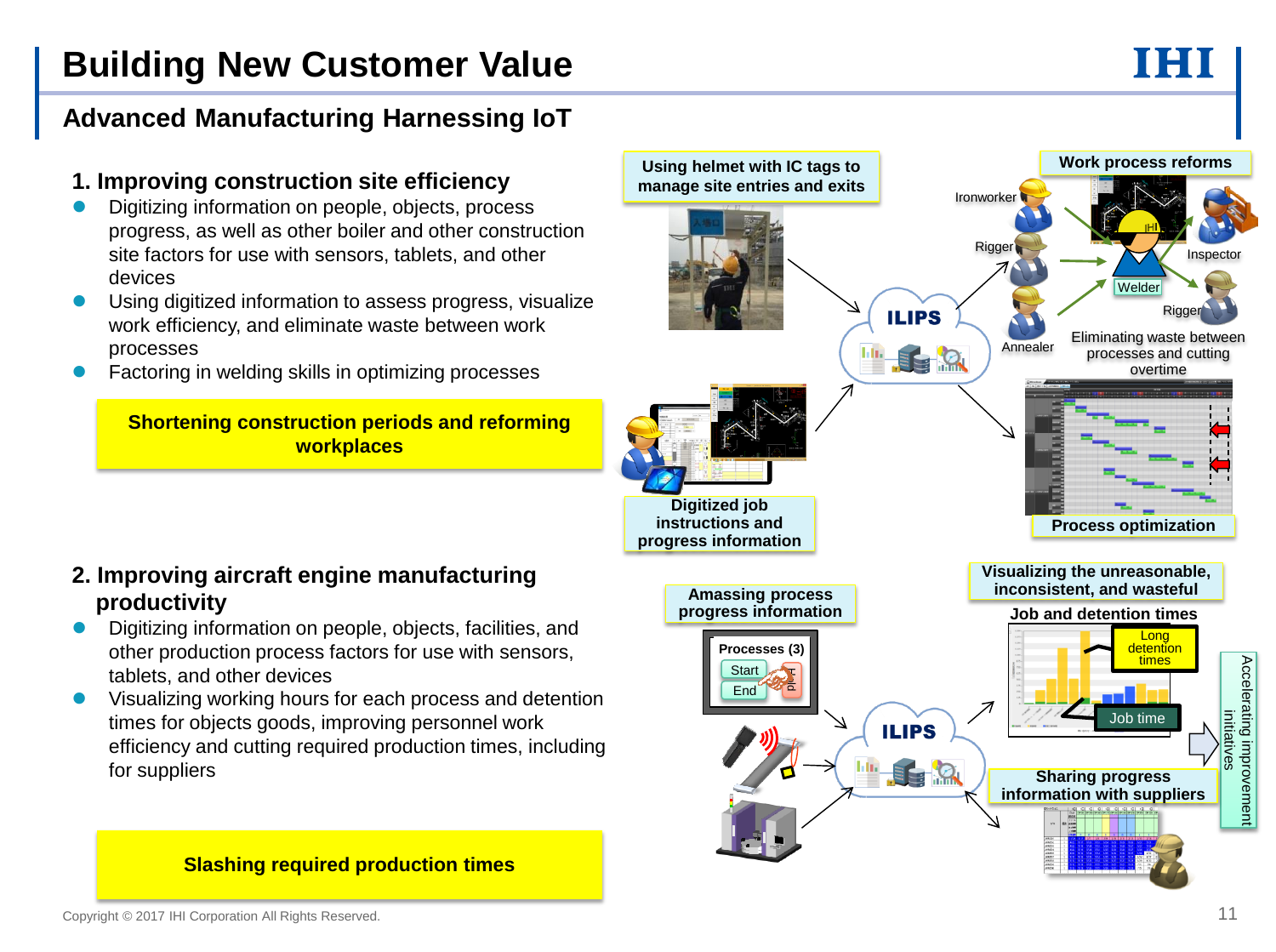# **Building New Customer Value**

#### j **Advanced Manufacturing Harnessing IoT**

#### **1. Improving construction site efficiency**

- Digitizing information on people, objects, process progress, as well as other boiler and other construction site factors for use with sensors, tablets, and other devices
- Using digitized information to assess progress, visualize work efficiency, and eliminate waste between work processes
- Factoring in welding skills in optimizing processes

**Shortening construction periods and reforming workplaces**

#### **2. Improving aircraft engine manufacturing productivity**

- Digitizing information on people, objects, facilities, and other production process factors for use with sensors, tablets, and other devices
- Visualizing working hours for each process and detention times for objects goods, improving personnel work efficiency and cutting required production times, including for suppliers



#### **Slashing required production times**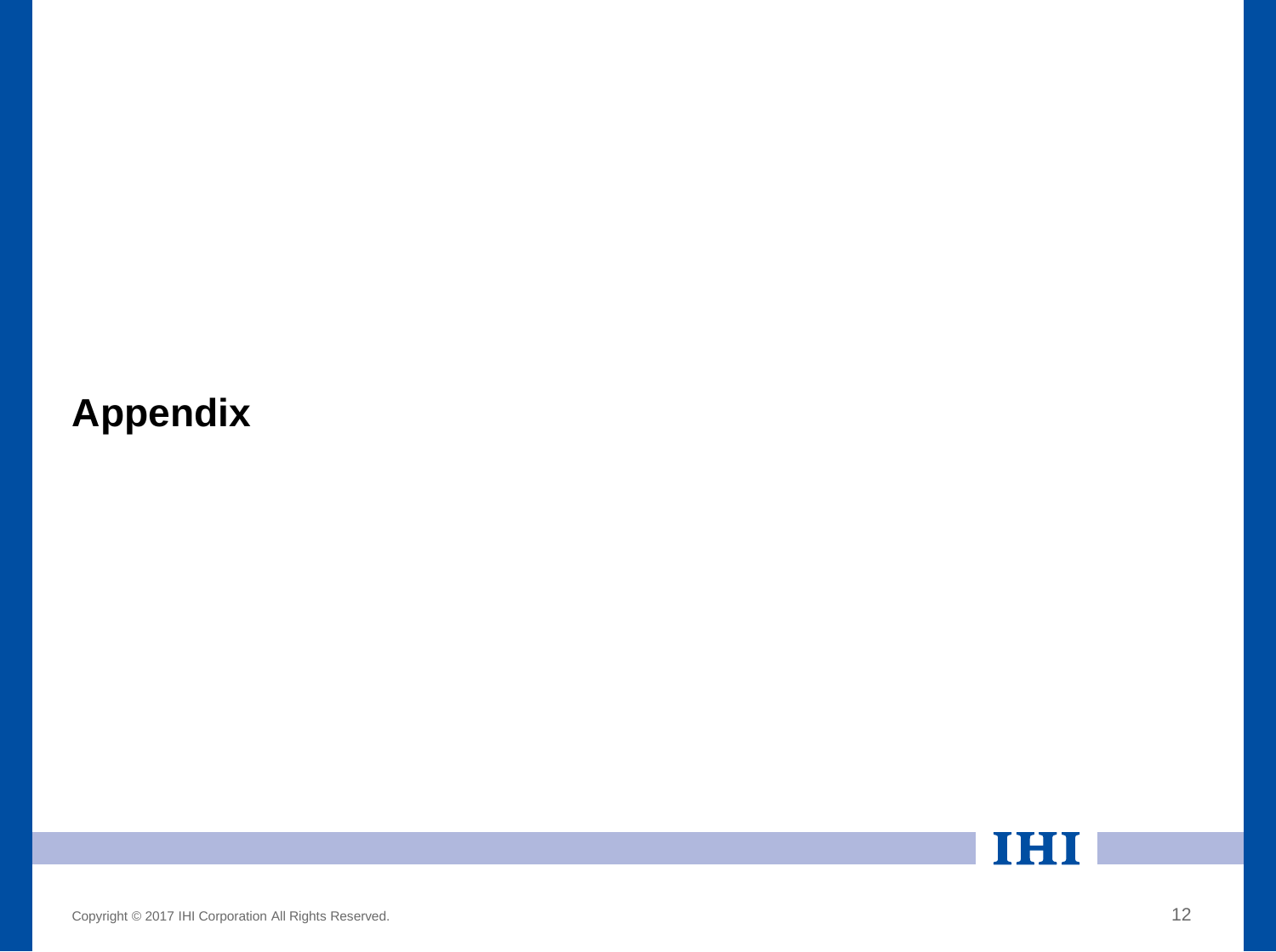# **Appendix**

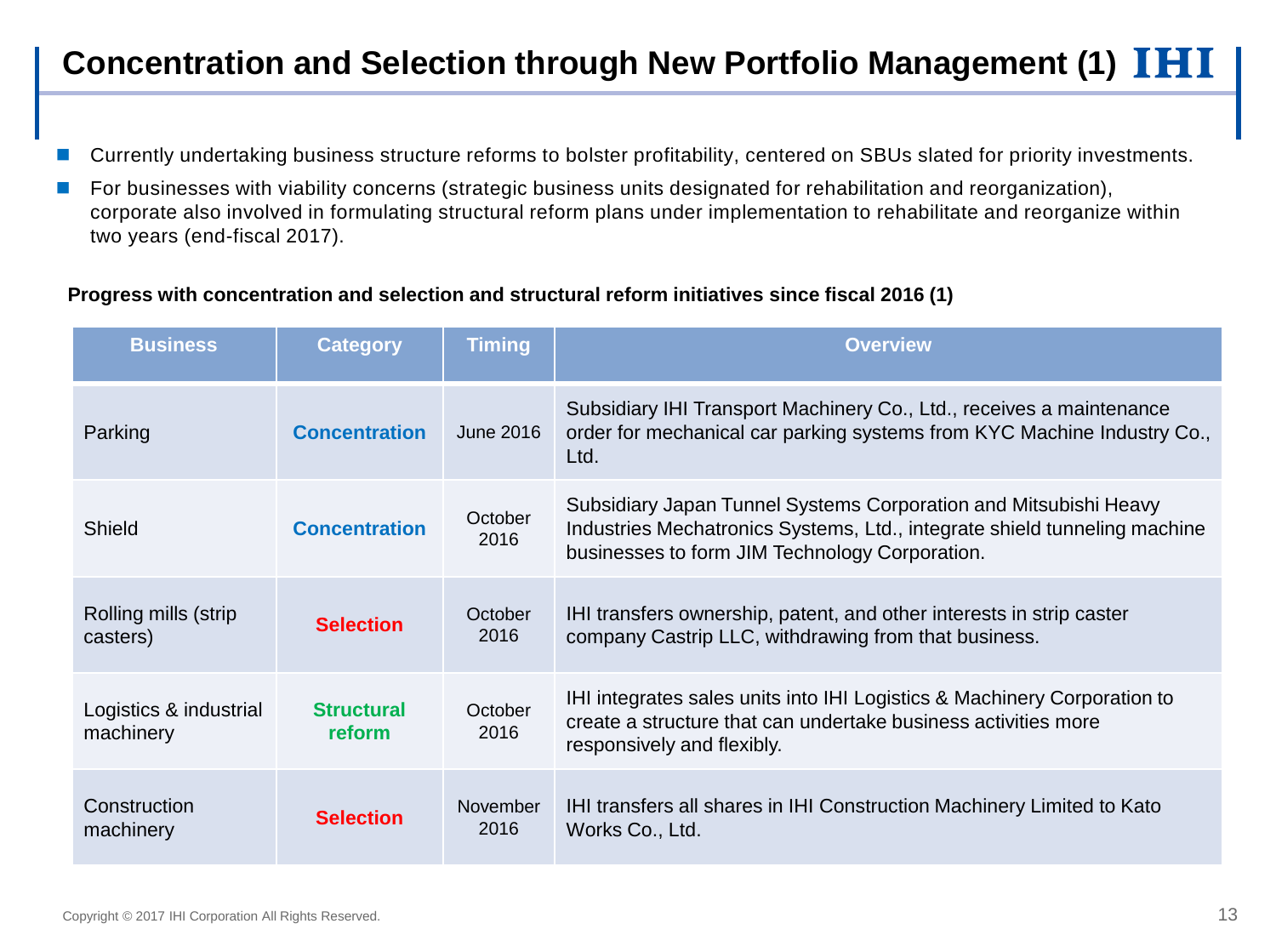## **Concentration and Selection through New Portfolio Management (1)**

- Currently undertaking business structure reforms to bolster profitability, centered on SBUs slated for priority investments.
- For businesses with viability concerns (strategic business units designated for rehabilitation and reorganization), corporate also involved in formulating structural reform plans under implementation to rehabilitate and reorganize within two years (end-fiscal 2017).

#### **Progress with concentration and selection and structural reform initiatives since fiscal 2016 (1)**

| <b>Business</b>                     | <b>Category</b>             | <b>Timing</b>    | <b>Overview</b>                                                                                                                                                                                 |
|-------------------------------------|-----------------------------|------------------|-------------------------------------------------------------------------------------------------------------------------------------------------------------------------------------------------|
| Parking                             | <b>Concentration</b>        | <b>June 2016</b> | Subsidiary IHI Transport Machinery Co., Ltd., receives a maintenance<br>order for mechanical car parking systems from KYC Machine Industry Co.,<br>Ltd.                                         |
| Shield                              | <b>Concentration</b>        | October<br>2016  | Subsidiary Japan Tunnel Systems Corporation and Mitsubishi Heavy<br>Industries Mechatronics Systems, Ltd., integrate shield tunneling machine<br>businesses to form JIM Technology Corporation. |
| Rolling mills (strip<br>casters)    | <b>Selection</b>            | October<br>2016  | IHI transfers ownership, patent, and other interests in strip caster<br>company Castrip LLC, withdrawing from that business.                                                                    |
| Logistics & industrial<br>machinery | <b>Structural</b><br>reform | October<br>2016  | IHI integrates sales units into IHI Logistics & Machinery Corporation to<br>create a structure that can undertake business activities more<br>responsively and flexibly.                        |
| Construction<br>machinery           | <b>Selection</b>            | November<br>2016 | IHI transfers all shares in IHI Construction Machinery Limited to Kato<br>Works Co., Ltd.                                                                                                       |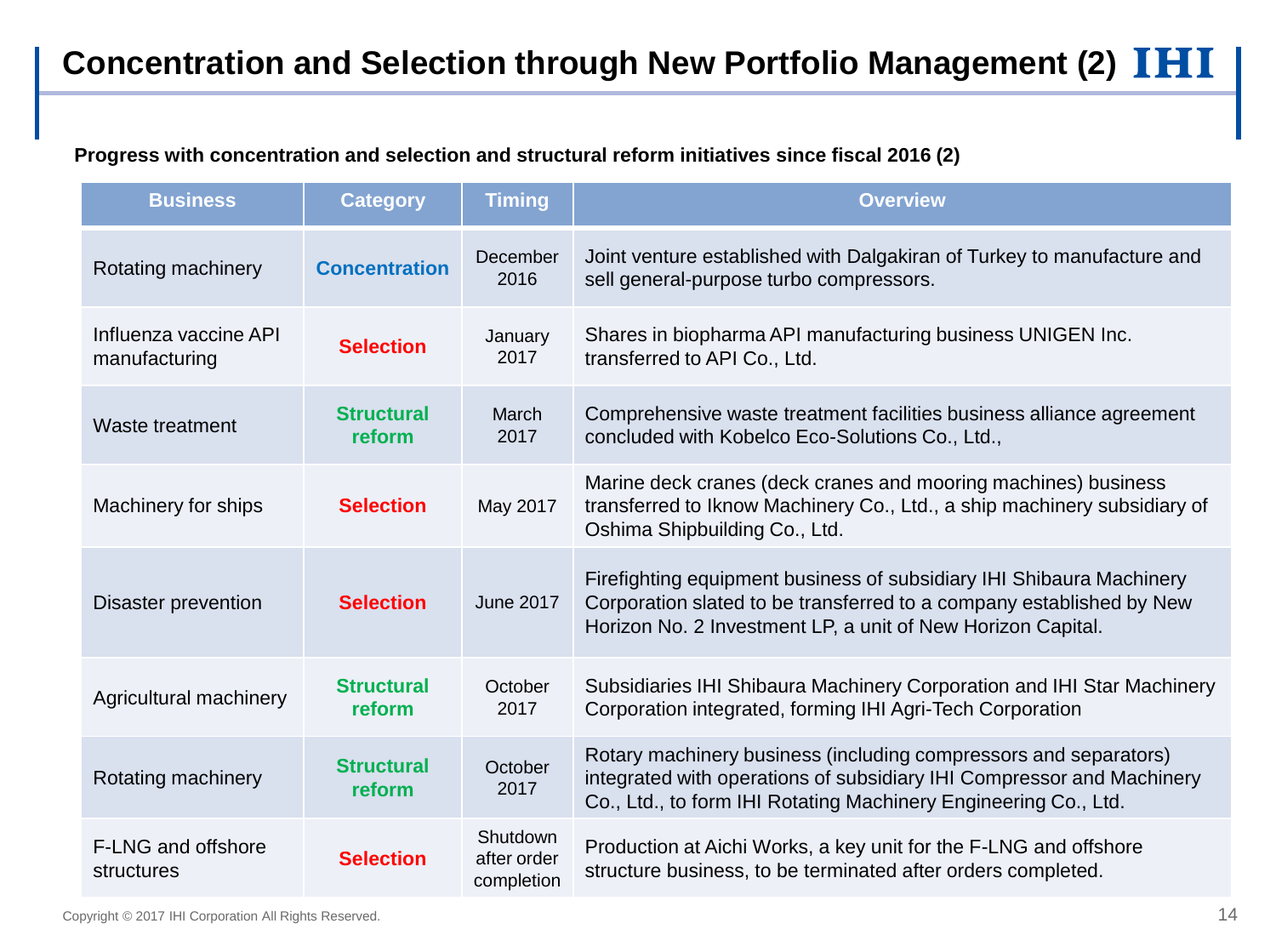**Progress with concentration and selection and structural reform initiatives since fiscal 2016 (2)**

| <b>Business</b>                         | <b>Category</b>             | <b>Timing</b>                         | <b>Overview</b>                                                                                                                                                                                              |
|-----------------------------------------|-----------------------------|---------------------------------------|--------------------------------------------------------------------------------------------------------------------------------------------------------------------------------------------------------------|
| Rotating machinery                      | <b>Concentration</b>        | December<br>2016                      | Joint venture established with Dalgakiran of Turkey to manufacture and<br>sell general-purpose turbo compressors.                                                                                            |
| Influenza vaccine API<br>manufacturing  | <b>Selection</b>            | January<br>2017                       | Shares in biopharma API manufacturing business UNIGEN Inc.<br>transferred to API Co., Ltd.                                                                                                                   |
| Waste treatment                         | <b>Structural</b><br>reform | March<br>2017                         | Comprehensive waste treatment facilities business alliance agreement<br>concluded with Kobelco Eco-Solutions Co., Ltd.,                                                                                      |
| Machinery for ships                     | <b>Selection</b>            | May 2017                              | Marine deck cranes (deck cranes and mooring machines) business<br>transferred to Iknow Machinery Co., Ltd., a ship machinery subsidiary of<br>Oshima Shipbuilding Co., Ltd.                                  |
| <b>Disaster prevention</b>              | <b>Selection</b>            | <b>June 2017</b>                      | Firefighting equipment business of subsidiary IHI Shibaura Machinery<br>Corporation slated to be transferred to a company established by New<br>Horizon No. 2 Investment LP, a unit of New Horizon Capital.  |
| Agricultural machinery                  | <b>Structural</b><br>reform | October<br>2017                       | Subsidiaries IHI Shibaura Machinery Corporation and IHI Star Machinery<br>Corporation integrated, forming IHI Agri-Tech Corporation                                                                          |
| Rotating machinery                      | <b>Structural</b><br>reform | October<br>2017                       | Rotary machinery business (including compressors and separators)<br>integrated with operations of subsidiary IHI Compressor and Machinery<br>Co., Ltd., to form IHI Rotating Machinery Engineering Co., Ltd. |
| <b>F-LNG and offshore</b><br>structures | <b>Selection</b>            | Shutdown<br>after order<br>completion | Production at Aichi Works, a key unit for the F-LNG and offshore<br>structure business, to be terminated after orders completed.                                                                             |